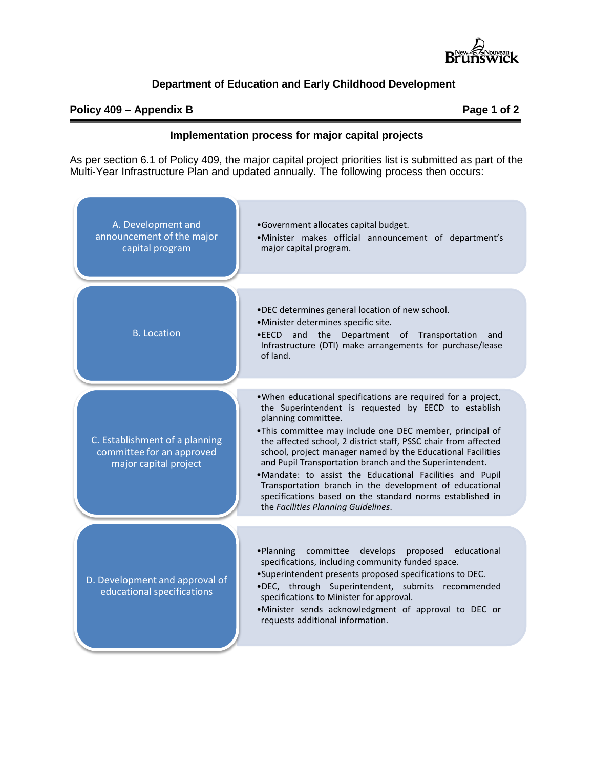

### **Department of Education and Early Childhood Development**

#### **Policy 409 – Appendix B Page 1 of 2**

#### **Implementation process for major capital projects**

As per section 6.1 of Policy 409, the major capital project priorities list is submitted as part of the Multi-Year Infrastructure Plan and updated annually. The following process then occurs: